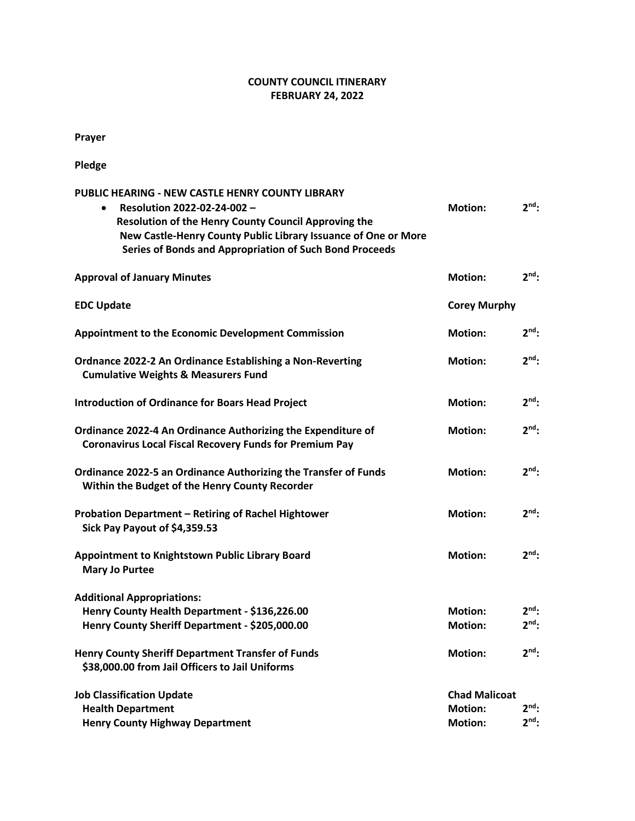## **COUNTY COUNCIL ITINERARY FEBRUARY 24, 2022**

**Prayer**

**Pledge**

| <b>PUBLIC HEARING - NEW CASTLE HENRY COUNTY LIBRARY</b>                              |                      |                 |
|--------------------------------------------------------------------------------------|----------------------|-----------------|
| Resolution 2022-02-24-002 -<br>$\bullet$                                             | <b>Motion:</b>       | 2 <sup>nd</sup> |
| Resolution of the Henry County Council Approving the                                 |                      |                 |
| New Castle-Henry County Public Library Issuance of One or More                       |                      |                 |
| Series of Bonds and Appropriation of Such Bond Proceeds                              |                      |                 |
| <b>Approval of January Minutes</b>                                                   | <b>Motion:</b>       | $2nd$ :         |
| <b>EDC Update</b>                                                                    | <b>Corey Murphy</b>  |                 |
| <b>Appointment to the Economic Development Commission</b>                            | <b>Motion:</b>       | $2^{nd}$ :      |
| Ordnance 2022-2 An Ordinance Establishing a Non-Reverting                            | <b>Motion:</b>       | $2nd$ :         |
| <b>Cumulative Weights &amp; Measurers Fund</b>                                       |                      |                 |
| <b>Introduction of Ordinance for Boars Head Project</b>                              | <b>Motion:</b>       | $2nd$ :         |
|                                                                                      |                      |                 |
| Ordinance 2022-4 An Ordinance Authorizing the Expenditure of                         | <b>Motion:</b>       | $2nd$ :         |
| <b>Coronavirus Local Fiscal Recovery Funds for Premium Pay</b>                       |                      |                 |
| Ordinance 2022-5 an Ordinance Authorizing the Transfer of Funds                      | <b>Motion:</b>       | $2nd$ :         |
| Within the Budget of the Henry County Recorder                                       |                      |                 |
|                                                                                      | <b>Motion:</b>       | $2nd$ :         |
| Probation Department - Retiring of Rachel Hightower<br>Sick Pay Payout of \$4,359.53 |                      |                 |
|                                                                                      |                      |                 |
| Appointment to Knightstown Public Library Board                                      | <b>Motion:</b>       | 2 <sup>nd</sup> |
| <b>Mary Jo Purtee</b>                                                                |                      |                 |
| <b>Additional Appropriations:</b>                                                    |                      |                 |
| Henry County Health Department - \$136,226.00                                        | <b>Motion:</b>       | $2nd$ :         |
| Henry County Sheriff Department - \$205,000.00                                       | <b>Motion:</b>       | $2nd$ :         |
| <b>Henry County Sheriff Department Transfer of Funds</b>                             | <b>Motion:</b>       | 2 <sup>nd</sup> |
| \$38,000.00 from Jail Officers to Jail Uniforms                                      |                      |                 |
| <b>Job Classification Update</b>                                                     | <b>Chad Malicoat</b> |                 |
| <b>Health Department</b>                                                             | <b>Motion:</b>       | $2nd$ :         |
| <b>Henry County Highway Department</b>                                               | <b>Motion:</b>       | $2nd$ :         |